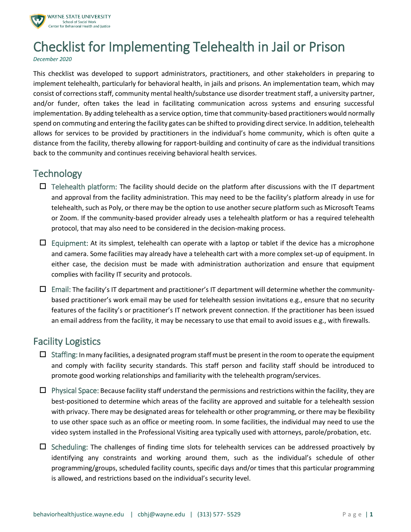

# Checklist for Implementing Telehealth in Jail or Prison

*December 2020*

This checklist was developed to support administrators, practitioners, and other stakeholders in preparing to implement telehealth, particularly for behavioral health, in jails and prisons. An implementation team, which may consist of corrections staff, community mental health/substance use disorder treatment staff, a university partner, and/or funder, often takes the lead in facilitating communication across systems and ensuring successful implementation. By adding telehealth as a service option, time that community-based practitioners would normally spend on commuting and entering the facility gates can be shifted to providing direct service. In addition, telehealth allows for services to be provided by practitioners in the individual's home community, which is often quite a distance from the facility, thereby allowing for rapport-building and continuity of care as the individual transitions back to the community and continues receiving behavioral health services.

## **Technology**

- $\Box$  Telehealth platform: The facility should decide on the platform after discussions with the IT department and approval from the facility administration. This may need to be the facility's platform already in use for telehealth, such as Poly, or there may be the option to use another secure platform such as Microsoft Teams or Zoom. If the community-based provider already uses a telehealth platform or has a required telehealth protocol, that may also need to be considered in the decision-making process.
- $\Box$  Equipment: At its simplest, telehealth can operate with a laptop or tablet if the device has a microphone and camera. Some facilities may already have a telehealth cart with a more complex set-up of equipment. In either case, the decision must be made with administration authorization and ensure that equipment complies with facility IT security and protocols.
- $\Box$  Email: The facility's IT department and practitioner's IT department will determine whether the communitybased practitioner's work email may be used for telehealth session invitations e.g., ensure that no security features of the facility's or practitioner's IT network prevent connection. If the practitioner has been issued an email address from the facility, it may be necessary to use that email to avoid issues e.g., with firewalls.

## Facility Logistics

- $\Box$  Staffing: In many facilities, a designated program staff must be present in the room to operate the equipment and comply with facility security standards. This staff person and facility staff should be introduced to promote good working relationships and familiarity with the telehealth program/services.
- $\Box$  Physical Space: Because facility staff understand the permissions and restrictions within the facility, they are best-positioned to determine which areas of the facility are approved and suitable for a telehealth session with privacy. There may be designated areas for telehealth or other programming, or there may be flexibility to use other space such as an office or meeting room. In some facilities, the individual may need to use the video system installed in the Professional Visiting area typically used with attorneys, parole/probation, etc.
- $\Box$  Scheduling: The challenges of finding time slots for telehealth services can be addressed proactively by identifying any constraints and working around them, such as the individual's schedule of other programming/groups, scheduled facility counts, specific days and/or times that this particular programming is allowed, and restrictions based on the individual's security level.